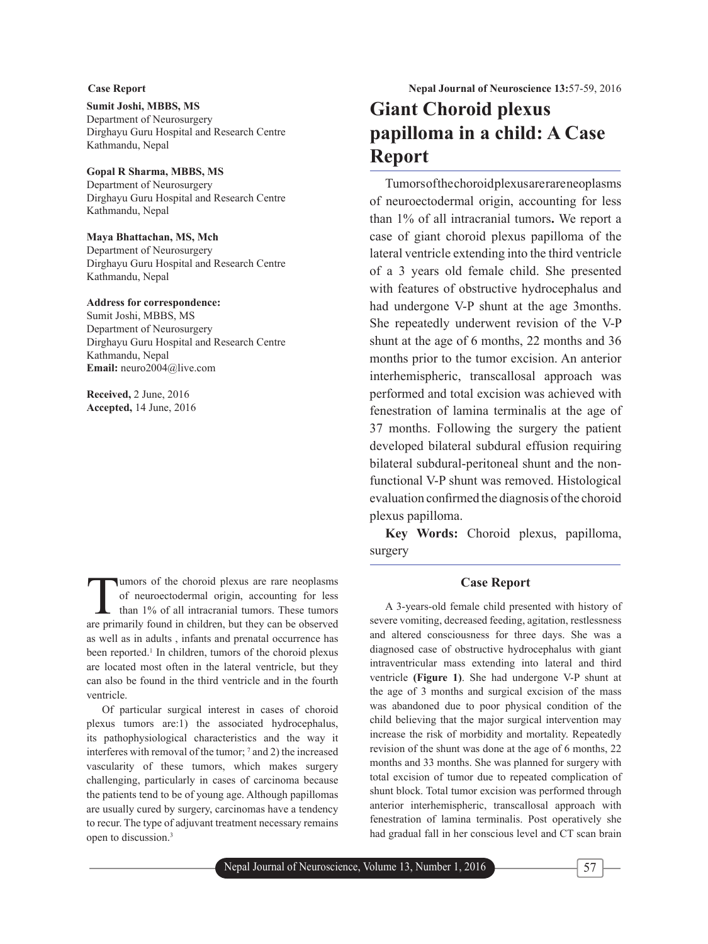### **Sumit Joshi, MBBS, MS**

Department of Neurosurgery Dirghayu Guru Hospital and Research Centre Kathmandu, Nepal

### **Gopal R Sharma, MBBS, MS**

Department of Neurosurgery Dirghayu Guru Hospital and Research Centre Kathmandu, Nepal

### **Maya Bhattachan, MS, Mch**

Department of Neurosurgery Dirghayu Guru Hospital and Research Centre Kathmandu, Nepal

### **Address for correspondence:**

Sumit Joshi, MBBS, MS Department of Neurosurgery Dirghayu Guru Hospital and Research Centre Kathmandu, Nepal **Email:** neuro2004@live.com

**Received,** 2 June, 2016 **Accepted,** 14 June, 2016

Tumors of the choroid plexus are rare neoplasms<br>of neuroectodermal origin, accounting for less<br>than 1% of all intracranial tumors. These tumors<br>are primarily found in children but they can be observed of neuroectodermal origin, accounting for less than 1% of all intracranial tumors. These tumors are primarily found in children, but they can be observed as well as in adults , infants and prenatal occurrence has been reported.<sup>1</sup> In children, tumors of the choroid plexus are located most often in the lateral ventricle, but they can also be found in the third ventricle and in the fourth ventricle.

Of particular surgical interest in cases of choroid plexus tumors are:1) the associated hydrocephalus, its pathophysiological characteristics and the way it interferes with removal of the tumor; 7 and 2) the increased vascularity of these tumors, which makes surgery challenging, particularly in cases of carcinoma because the patients tend to be of young age. Although papillomas are usually cured by surgery, carcinomas have a tendency to recur. The type of adjuvant treatment necessary remains open to discussion.3

# **Giant Choroid plexus papilloma in a child: A Case Report**

Tumors of the choroid plexus are rare neoplasms of neuroectodermal origin, accounting for less than 1% of all intracranial tumors**.** We report a case of giant choroid plexus papilloma of the lateral ventricle extending into the third ventricle of a 3 years old female child. She presented with features of obstructive hydrocephalus and had undergone V-P shunt at the age 3months. She repeatedly underwent revision of the V-P shunt at the age of 6 months, 22 months and 36 months prior to the tumor excision. An anterior interhemispheric, transcallosal approach was performed and total excision was achieved with fenestration of lamina terminalis at the age of 37 months. Following the surgery the patient developed bilateral subdural effusion requiring bilateral subdural-peritoneal shunt and the nonfunctional V-P shunt was removed. Histological evaluation confirmed the diagnosis of the choroid plexus papilloma.

**Key Words:** Choroid plexus, papilloma, surgery

### **Case Report**

A 3-years-old female child presented with history of severe vomiting, decreased feeding, agitation, restlessness and altered consciousness for three days. She was a diagnosed case of obstructive hydrocephalus with giant intraventricular mass extending into lateral and third ventricle **(Figure 1)**. She had undergone V-P shunt at the age of 3 months and surgical excision of the mass was abandoned due to poor physical condition of the child believing that the major surgical intervention may increase the risk of morbidity and mortality. Repeatedly revision of the shunt was done at the age of 6 months, 22 months and 33 months. She was planned for surgery with total excision of tumor due to repeated complication of shunt block. Total tumor excision was performed through anterior interhemispheric, transcallosal approach with fenestration of lamina terminalis. Post operatively she had gradual fall in her conscious level and CT scan brain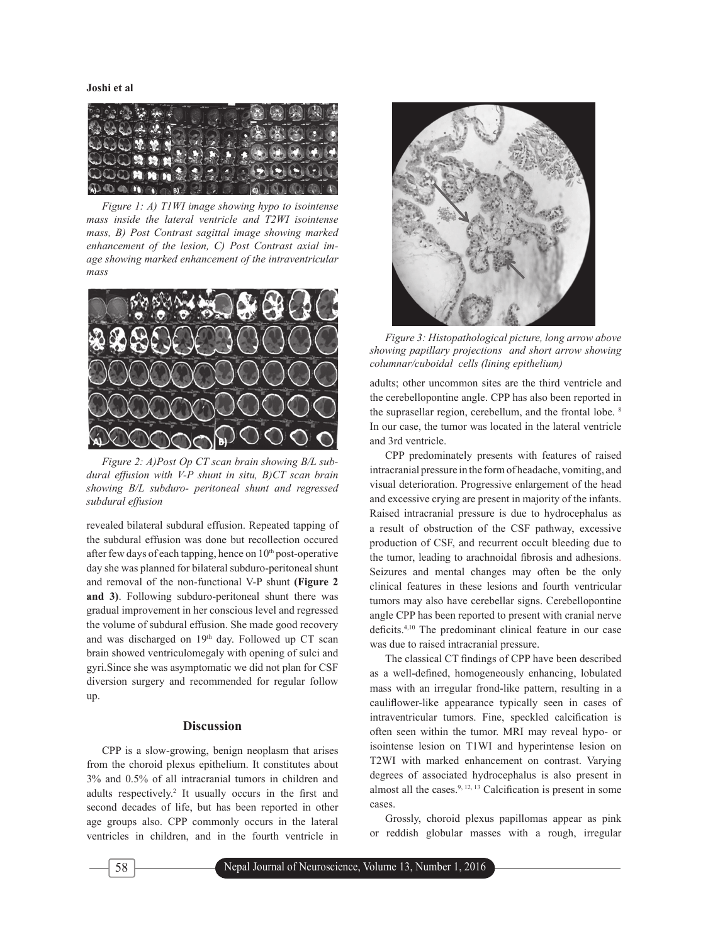**Joshi et al**



*Figure 1: A) T1WI image showing hypo to isointense mass inside the lateral ventricle and T2WI isointense mass, B) Post Contrast sagittal image showing marked enhancement of the lesion, C) Post Contrast axial image showing marked enhancement of the intraventricular mass*



*Figure 2: A)Post Op CT scan brain showing B/L subdural effusion with V-P shunt in situ, B)CT scan brain showing B/L subduro- peritoneal shunt and regressed subdural effusion*

revealed bilateral subdural effusion. Repeated tapping of the subdural effusion was done but recollection occured after few days of each tapping, hence on  $10<sup>th</sup>$  post-operative day she was planned for bilateral subduro-peritoneal shunt and removal of the non-functional V-P shunt **(Figure 2 and 3)**. Following subduro-peritoneal shunt there was gradual improvement in her conscious level and regressed the volume of subdural effusion. She made good recovery and was discharged on 19th day. Followed up CT scan brain showed ventriculomegaly with opening of sulci and gyri.Since she was asymptomatic we did not plan for CSF diversion surgery and recommended for regular follow up.

### **Discussion**

CPP is a slow-growing, benign neoplasm that arises from the choroid plexus epithelium. It constitutes about 3% and 0.5% of all intracranial tumors in children and adults respectively.<sup>2</sup> It usually occurs in the first and second decades of life, but has been reported in other age groups also. CPP commonly occurs in the lateral ventricles in children, and in the fourth ventricle in



*Figure 3: Histopathological picture, long arrow above showing papillary projections and short arrow showing columnar/cuboidal cells (lining epithelium)* 

adults; other uncommon sites are the third ventricle and the cerebellopontine angle. CPP has also been reported in the suprasellar region, cerebellum, and the frontal lobe. 8 In our case, the tumor was located in the lateral ventricle and 3rd ventricle.

CPP predominately presents with features of raised intracranial pressure in the form of headache, vomiting, and visual deterioration. Progressive enlargement of the head and excessive crying are present in majority of the infants. Raised intracranial pressure is due to hydrocephalus as a result of obstruction of the CSF pathway, excessive production of CSF, and recurrent occult bleeding due to the tumor, leading to arachnoidal fibrosis and adhesions. Seizures and mental changes may often be the only clinical features in these lesions and fourth ventricular tumors may also have cerebellar signs. Cerebellopontine angle CPP has been reported to present with cranial nerve deficits.<sup>4,10</sup> The predominant clinical feature in our case was due to raised intracranial pressure.

The classical CT findings of CPP have been described as a well-defined, homogeneously enhancing, lobulated mass with an irregular frond-like pattern, resulting in a cauliflower-like appearance typically seen in cases of intraventricular tumors. Fine, speckled calcification is often seen within the tumor. MRI may reveal hypo- or isointense lesion on T1WI and hyperintense lesion on T2WI with marked enhancement on contrast. Varying degrees of associated hydrocephalus is also present in almost all the cases.<sup>9, 12, 13</sup> Calcification is present in some cases.

Grossly, choroid plexus papillomas appear as pink or reddish globular masses with a rough, irregular